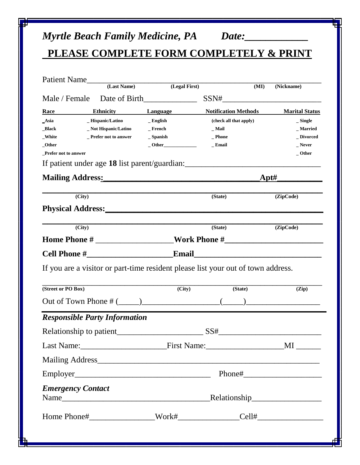# *Myrtle Beach Family Medicine, PA Date:\_\_\_\_\_\_\_\_\_\_\_\_*

## **PLEASE COMPLETE FORM COMPLETELY & PRINT**

|                                                                               | Patient Name                         |                     |                                                                                  |                       |
|-------------------------------------------------------------------------------|--------------------------------------|---------------------|----------------------------------------------------------------------------------|-----------------------|
|                                                                               | (Last Name)                          | (Legal First)       | (MI)                                                                             | (Nickname)            |
|                                                                               | Male / Female Date of Birth          |                     | $SSN# \underbrace{\qquad \qquad }$                                               |                       |
| Race                                                                          | <b>Ethnicity</b>                     | Language            | <b>Notification Methods</b>                                                      | <b>Marital Status</b> |
| _Asia                                                                         | _Hispanic/Latino                     | $\_$ English        | (check all that apply)                                                           | $\_$ Single           |
| _Black                                                                        | _Not Hispanic/Latino                 | $\_$ French         | $\_$ Mail                                                                        | _ Married             |
| _White                                                                        | <b>Prefer not to answer</b>          | $\mathbf{-$ Spanish | _ Phone                                                                          | _ Divorced            |
| _Other<br>Prefer not to answer                                                |                                      | $-$ Other           | _ Email                                                                          | _ Never<br>$_$ Other  |
|                                                                               |                                      |                     | If patient under age 18 list parent/guardian:___________________________________ |                       |
| Mailing Address: Mailing Address: Mailing Address: Mailing Address: Mail 1997 |                                      |                     | Apt#                                                                             |                       |
| (City)                                                                        |                                      |                     | (State)                                                                          | (ZipCode)             |
|                                                                               |                                      |                     |                                                                                  |                       |
| $\overline{(City)}$                                                           |                                      |                     | (State)                                                                          | (ZipCode)             |
|                                                                               |                                      |                     |                                                                                  |                       |
|                                                                               |                                      |                     |                                                                                  |                       |
|                                                                               |                                      |                     |                                                                                  |                       |
|                                                                               |                                      |                     | If you are a visitor or part-time resident please list your out of town address. |                       |
| (Street or PO Box)                                                            |                                      | $\overline{(City)}$ | $\overline{\text{(State)}}$                                                      | (Zip)                 |
|                                                                               |                                      |                     |                                                                                  |                       |
|                                                                               | <b>Responsible Party Information</b> |                     |                                                                                  |                       |
|                                                                               |                                      |                     |                                                                                  |                       |
|                                                                               |                                      |                     |                                                                                  |                       |
|                                                                               |                                      |                     |                                                                                  |                       |
|                                                                               |                                      |                     |                                                                                  |                       |
| <b>Emergency Contact</b>                                                      |                                      |                     | Relationship                                                                     |                       |